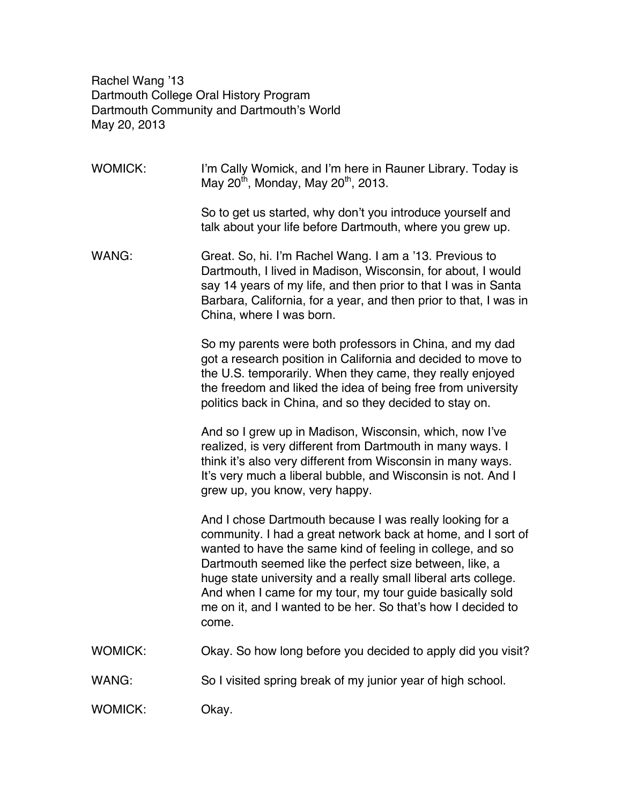Rachel Wang '13 Dartmouth College Oral History Program Dartmouth Community and Dartmouth's World May 20, 2013

| <b>WOMICK:</b> | I'm Cally Womick, and I'm here in Rauner Library. Today is<br>May 20 <sup>th</sup> , Monday, May 20 <sup>th</sup> , 2013.                                                                                                                                                                                                                                                                                                                                 |
|----------------|-----------------------------------------------------------------------------------------------------------------------------------------------------------------------------------------------------------------------------------------------------------------------------------------------------------------------------------------------------------------------------------------------------------------------------------------------------------|
|                | So to get us started, why don't you introduce yourself and<br>talk about your life before Dartmouth, where you grew up.                                                                                                                                                                                                                                                                                                                                   |
| WANG:          | Great. So, hi. I'm Rachel Wang. I am a '13. Previous to<br>Dartmouth, I lived in Madison, Wisconsin, for about, I would<br>say 14 years of my life, and then prior to that I was in Santa<br>Barbara, California, for a year, and then prior to that, I was in<br>China, where I was born.                                                                                                                                                                |
|                | So my parents were both professors in China, and my dad<br>got a research position in California and decided to move to<br>the U.S. temporarily. When they came, they really enjoyed<br>the freedom and liked the idea of being free from university<br>politics back in China, and so they decided to stay on.                                                                                                                                           |
|                | And so I grew up in Madison, Wisconsin, which, now I've<br>realized, is very different from Dartmouth in many ways. I<br>think it's also very different from Wisconsin in many ways.<br>It's very much a liberal bubble, and Wisconsin is not. And I<br>grew up, you know, very happy.                                                                                                                                                                    |
|                | And I chose Dartmouth because I was really looking for a<br>community. I had a great network back at home, and I sort of<br>wanted to have the same kind of feeling in college, and so<br>Dartmouth seemed like the perfect size between, like, a<br>huge state university and a really small liberal arts college.<br>And when I came for my tour, my tour guide basically sold<br>me on it, and I wanted to be her. So that's how I decided to<br>come. |
| WOMICK:        | Okay. So how long before you decided to apply did you visit?                                                                                                                                                                                                                                                                                                                                                                                              |
| WANG:          | So I visited spring break of my junior year of high school.                                                                                                                                                                                                                                                                                                                                                                                               |
| WOMICK:        | Okay.                                                                                                                                                                                                                                                                                                                                                                                                                                                     |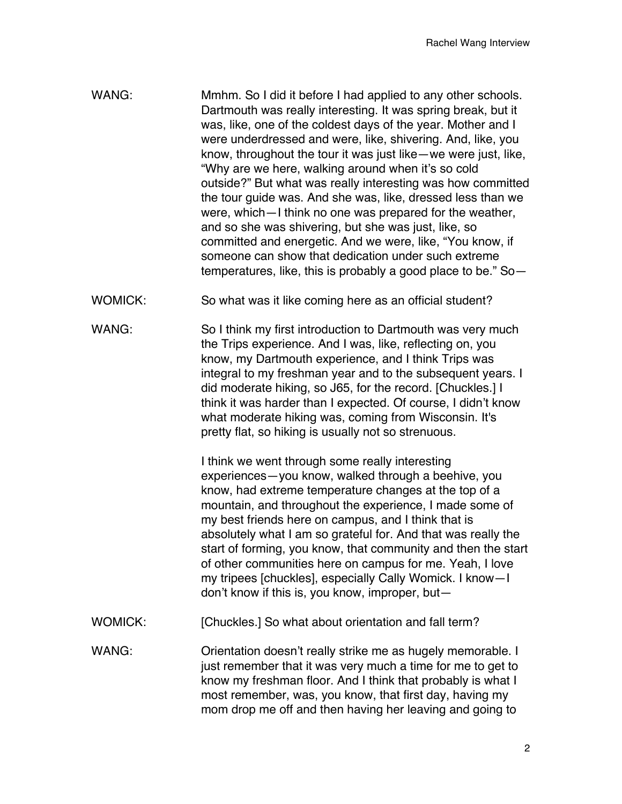- WANG: Mmhm. So I did it before I had applied to any other schools. Dartmouth was really interesting. It was spring break, but it was, like, one of the coldest days of the year. Mother and I were underdressed and were, like, shivering. And, like, you know, throughout the tour it was just like—we were just, like, "Why are we here, walking around when it's so cold outside?" But what was really interesting was how committed the tour guide was. And she was, like, dressed less than we were, which—I think no one was prepared for the weather, and so she was shivering, but she was just, like, so committed and energetic. And we were, like, "You know, if someone can show that dedication under such extreme temperatures, like, this is probably a good place to be." So—
- WOMICK: So what was it like coming here as an official student?
- WANG: So I think my first introduction to Dartmouth was very much the Trips experience. And I was, like, reflecting on, you know, my Dartmouth experience, and I think Trips was integral to my freshman year and to the subsequent years. I did moderate hiking, so J65, for the record. [Chuckles.] I think it was harder than I expected. Of course, I didn't know what moderate hiking was, coming from Wisconsin. It's pretty flat, so hiking is usually not so strenuous.

I think we went through some really interesting experiences—you know, walked through a beehive, you know, had extreme temperature changes at the top of a mountain, and throughout the experience, I made some of my best friends here on campus, and I think that is absolutely what I am so grateful for. And that was really the start of forming, you know, that community and then the start of other communities here on campus for me. Yeah, I love my tripees [chuckles], especially Cally Womick. I know—I don't know if this is, you know, improper, but—

WOMICK: [Chuckles.] So what about orientation and fall term?

WANG: Orientation doesn't really strike me as hugely memorable. I just remember that it was very much a time for me to get to know my freshman floor. And I think that probably is what I most remember, was, you know, that first day, having my mom drop me off and then having her leaving and going to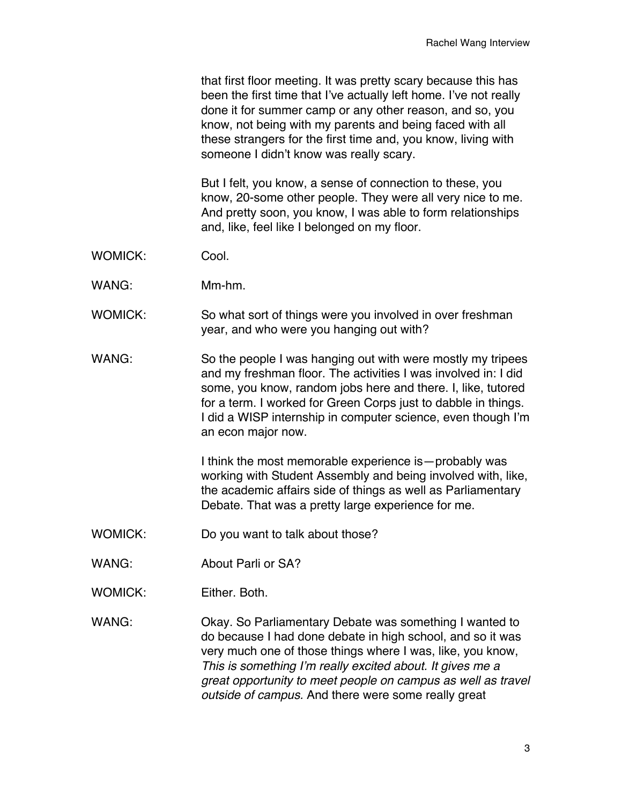that first floor meeting. It was pretty scary because this has been the first time that I've actually left home. I've not really done it for summer camp or any other reason, and so, you know, not being with my parents and being faced with all these strangers for the first time and, you know, living with someone I didn't know was really scary.

But I felt, you know, a sense of connection to these, you know, 20-some other people. They were all very nice to me. And pretty soon, you know, I was able to form relationships and, like, feel like I belonged on my floor.

- WOMICK: Cool.
- WANG: Mm-hm.
- WOMICK: So what sort of things were you involved in over freshman year, and who were you hanging out with?
- WANG: So the people I was hanging out with were mostly my tripees and my freshman floor. The activities I was involved in: I did some, you know, random jobs here and there. I, like, tutored for a term. I worked for Green Corps just to dabble in things. I did a WISP internship in computer science, even though I'm an econ major now.

I think the most memorable experience is—probably was working with Student Assembly and being involved with, like, the academic affairs side of things as well as Parliamentary Debate. That was a pretty large experience for me.

- WOMICK: Do you want to talk about those?
- WANG: About Parli or SA?
- WOMICK: Either. Both.

WANG: Okay. So Parliamentary Debate was something I wanted to do because I had done debate in high school, and so it was very much one of those things where I was, like, you know, *This is something I'm really excited about. It gives me a great opportunity to meet people on campus as well as travel outside of campus.* And there were some really great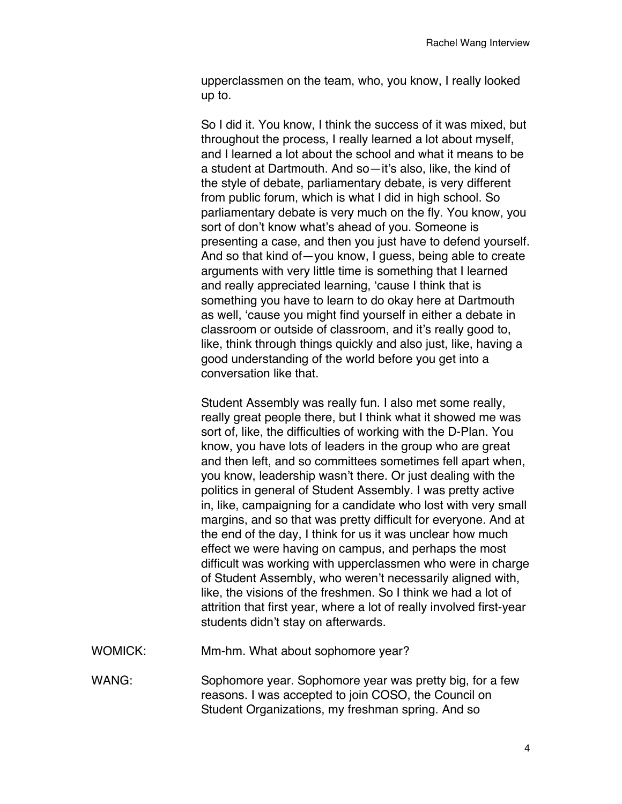upperclassmen on the team, who, you know, I really looked up to.

So I did it. You know, I think the success of it was mixed, but throughout the process, I really learned a lot about myself, and I learned a lot about the school and what it means to be a student at Dartmouth. And so—it's also, like, the kind of the style of debate, parliamentary debate, is very different from public forum, which is what I did in high school. So parliamentary debate is very much on the fly. You know, you sort of don't know what's ahead of you. Someone is presenting a case, and then you just have to defend yourself. And so that kind of—you know, I guess, being able to create arguments with very little time is something that I learned and really appreciated learning, 'cause I think that is something you have to learn to do okay here at Dartmouth as well, 'cause you might find yourself in either a debate in classroom or outside of classroom, and it's really good to, like, think through things quickly and also just, like, having a good understanding of the world before you get into a conversation like that.

Student Assembly was really fun. I also met some really, really great people there, but I think what it showed me was sort of, like, the difficulties of working with the D-Plan. You know, you have lots of leaders in the group who are great and then left, and so committees sometimes fell apart when, you know, leadership wasn't there. Or just dealing with the politics in general of Student Assembly. I was pretty active in, like, campaigning for a candidate who lost with very small margins, and so that was pretty difficult for everyone. And at the end of the day, I think for us it was unclear how much effect we were having on campus, and perhaps the most difficult was working with upperclassmen who were in charge of Student Assembly, who weren't necessarily aligned with, like, the visions of the freshmen. So I think we had a lot of attrition that first year, where a lot of really involved first-year students didn't stay on afterwards.

- WOMICK: Mm-hm. What about sophomore year?
- WANG: Sophomore year. Sophomore year was pretty big, for a few reasons. I was accepted to join COSO, the Council on Student Organizations, my freshman spring. And so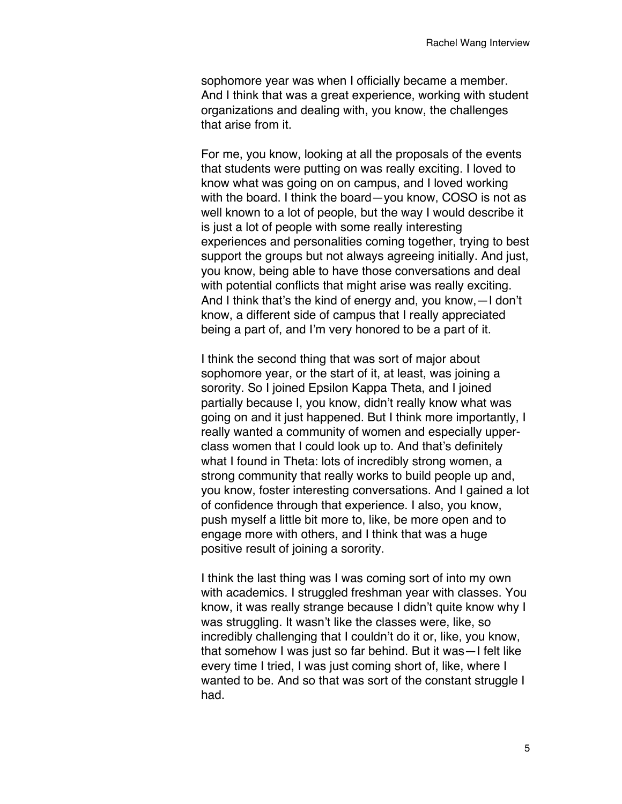sophomore year was when I officially became a member. And I think that was a great experience, working with student organizations and dealing with, you know, the challenges that arise from it.

For me, you know, looking at all the proposals of the events that students were putting on was really exciting. I loved to know what was going on on campus, and I loved working with the board. I think the board—you know, COSO is not as well known to a lot of people, but the way I would describe it is just a lot of people with some really interesting experiences and personalities coming together, trying to best support the groups but not always agreeing initially. And just, you know, being able to have those conversations and deal with potential conflicts that might arise was really exciting. And I think that's the kind of energy and, you know,—I don't know, a different side of campus that I really appreciated being a part of, and I'm very honored to be a part of it.

I think the second thing that was sort of major about sophomore year, or the start of it, at least, was joining a sorority. So I joined Epsilon Kappa Theta, and I joined partially because I, you know, didn't really know what was going on and it just happened. But I think more importantly, I really wanted a community of women and especially upperclass women that I could look up to. And that's definitely what I found in Theta: lots of incredibly strong women, a strong community that really works to build people up and, you know, foster interesting conversations. And I gained a lot of confidence through that experience. I also, you know, push myself a little bit more to, like, be more open and to engage more with others, and I think that was a huge positive result of joining a sorority.

I think the last thing was I was coming sort of into my own with academics. I struggled freshman year with classes. You know, it was really strange because I didn't quite know why I was struggling. It wasn't like the classes were, like, so incredibly challenging that I couldn't do it or, like, you know, that somehow I was just so far behind. But it was—I felt like every time I tried, I was just coming short of, like, where I wanted to be. And so that was sort of the constant struggle I had.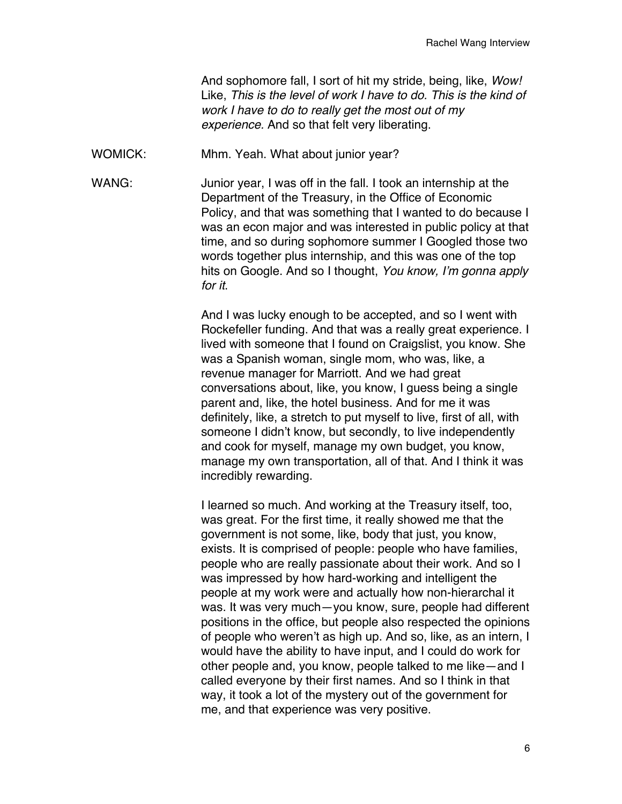And sophomore fall, I sort of hit my stride, being, like, *Wow!* Like, *This is the level of work I have to do. This is the kind of work I have to do to really get the most out of my experience.* And so that felt very liberating.

WOMICK: Mhm. Yeah. What about junior year?

WANG: Junior year, I was off in the fall. I took an internship at the Department of the Treasury, in the Office of Economic Policy, and that was something that I wanted to do because I was an econ major and was interested in public policy at that time, and so during sophomore summer I Googled those two words together plus internship, and this was one of the top hits on Google. And so I thought, *You know, I'm gonna apply for it*.

> And I was lucky enough to be accepted, and so I went with Rockefeller funding. And that was a really great experience. I lived with someone that I found on Craigslist, you know. She was a Spanish woman, single mom, who was, like, a revenue manager for Marriott. And we had great conversations about, like, you know, I guess being a single parent and, like, the hotel business. And for me it was definitely, like, a stretch to put myself to live, first of all, with someone I didn't know, but secondly, to live independently and cook for myself, manage my own budget, you know, manage my own transportation, all of that. And I think it was incredibly rewarding.

> I learned so much. And working at the Treasury itself, too, was great. For the first time, it really showed me that the government is not some, like, body that just, you know, exists. It is comprised of people: people who have families, people who are really passionate about their work. And so I was impressed by how hard-working and intelligent the people at my work were and actually how non-hierarchal it was. It was very much—you know, sure, people had different positions in the office, but people also respected the opinions of people who weren't as high up. And so, like, as an intern, I would have the ability to have input, and I could do work for other people and, you know, people talked to me like—and I called everyone by their first names. And so I think in that way, it took a lot of the mystery out of the government for me, and that experience was very positive.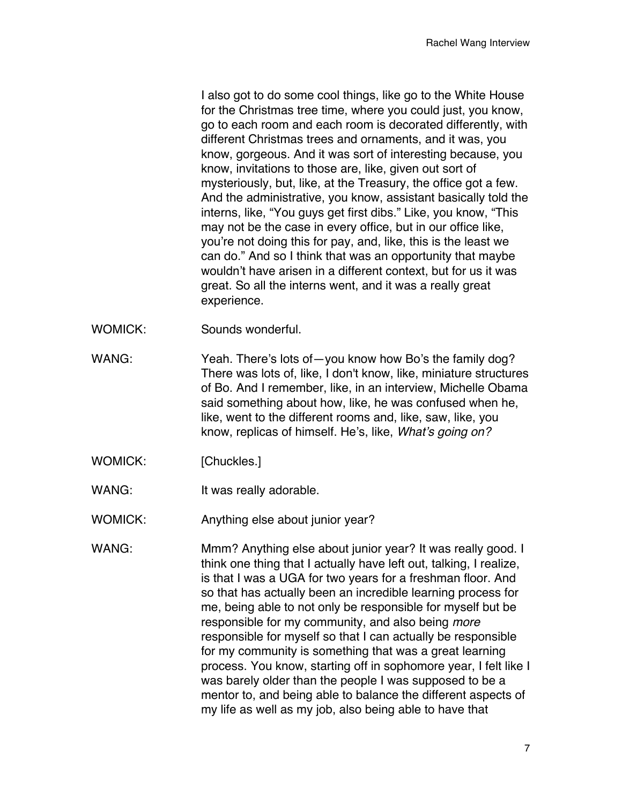I also got to do some cool things, like go to the White House for the Christmas tree time, where you could just, you know, go to each room and each room is decorated differently, with different Christmas trees and ornaments, and it was, you know, gorgeous. And it was sort of interesting because, you know, invitations to those are, like, given out sort of mysteriously, but, like, at the Treasury, the office got a few. And the administrative, you know, assistant basically told the interns, like, "You guys get first dibs." Like, you know, "This may not be the case in every office, but in our office like, you're not doing this for pay, and, like, this is the least we can do." And so I think that was an opportunity that maybe wouldn't have arisen in a different context, but for us it was great. So all the interns went, and it was a really great experience.

- WOMICK: Sounds wonderful.
- WANG: Yeah. There's lots of you know how Bo's the family dog? There was lots of, like, I don't know, like, miniature structures of Bo. And I remember, like, in an interview, Michelle Obama said something about how, like, he was confused when he, like, went to the different rooms and, like, saw, like, you know, replicas of himself. He's, like, *What's going on?*
- WOMICK: [Chuckles.]
- WANG: It was really adorable.

WOMICK: Anything else about junior year?

WANG: Mmm? Anything else about junior year? It was really good. I think one thing that I actually have left out, talking, I realize, is that I was a UGA for two years for a freshman floor. And so that has actually been an incredible learning process for me, being able to not only be responsible for myself but be responsible for my community, and also being *more* responsible for myself so that I can actually be responsible for my community is something that was a great learning process. You know, starting off in sophomore year, I felt like I was barely older than the people I was supposed to be a mentor to, and being able to balance the different aspects of my life as well as my job, also being able to have that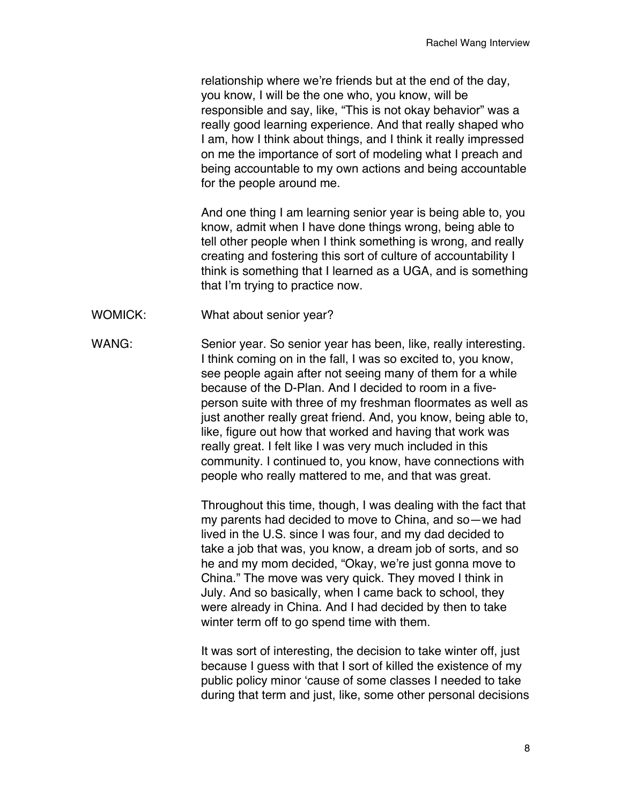relationship where we're friends but at the end of the day, you know, I will be the one who, you know, will be responsible and say, like, "This is not okay behavior" was a really good learning experience. And that really shaped who I am, how I think about things, and I think it really impressed on me the importance of sort of modeling what I preach and being accountable to my own actions and being accountable for the people around me.

And one thing I am learning senior year is being able to, you know, admit when I have done things wrong, being able to tell other people when I think something is wrong, and really creating and fostering this sort of culture of accountability I think is something that I learned as a UGA, and is something that I'm trying to practice now.

WOMICK: What about senior year?

WANG: Senior year. So senior year has been, like, really interesting. I think coming on in the fall, I was so excited to, you know, see people again after not seeing many of them for a while because of the D-Plan. And I decided to room in a fiveperson suite with three of my freshman floormates as well as just another really great friend. And, you know, being able to, like, figure out how that worked and having that work was really great. I felt like I was very much included in this community. I continued to, you know, have connections with people who really mattered to me, and that was great.

> Throughout this time, though, I was dealing with the fact that my parents had decided to move to China, and so—we had lived in the U.S. since I was four, and my dad decided to take a job that was, you know, a dream job of sorts, and so he and my mom decided, "Okay, we're just gonna move to China." The move was very quick. They moved I think in July. And so basically, when I came back to school, they were already in China. And I had decided by then to take winter term off to go spend time with them.

It was sort of interesting, the decision to take winter off, just because I guess with that I sort of killed the existence of my public policy minor 'cause of some classes I needed to take during that term and just, like, some other personal decisions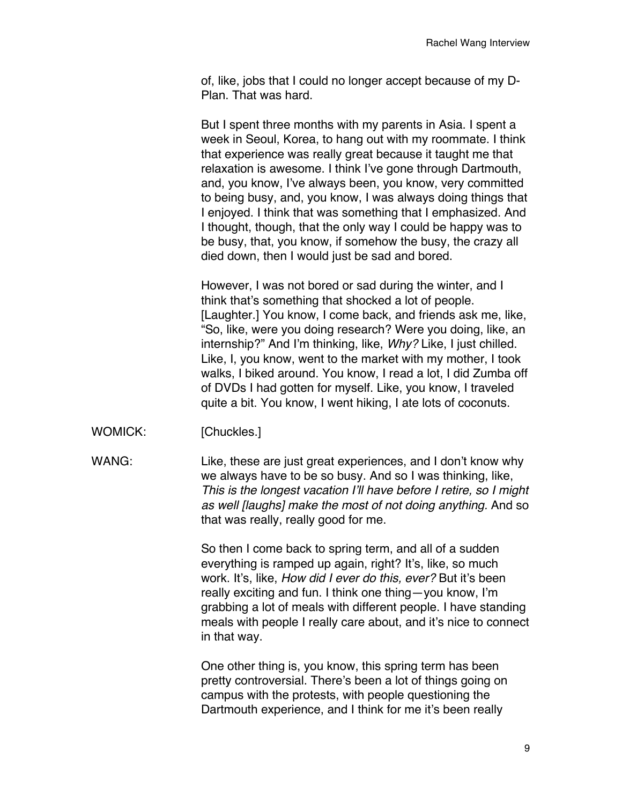of, like, jobs that I could no longer accept because of my D-Plan. That was hard.

But I spent three months with my parents in Asia. I spent a week in Seoul, Korea, to hang out with my roommate. I think that experience was really great because it taught me that relaxation is awesome. I think I've gone through Dartmouth, and, you know, I've always been, you know, very committed to being busy, and, you know, I was always doing things that I enjoyed. I think that was something that I emphasized. And I thought, though, that the only way I could be happy was to be busy, that, you know, if somehow the busy, the crazy all died down, then I would just be sad and bored.

However, I was not bored or sad during the winter, and I think that's something that shocked a lot of people. [Laughter.] You know, I come back, and friends ask me, like, "So, like, were you doing research? Were you doing, like, an internship?" And I'm thinking, like, *Why?* Like, I just chilled. Like, I, you know, went to the market with my mother, I took walks, I biked around. You know, I read a lot, I did Zumba off of DVDs I had gotten for myself. Like, you know, I traveled quite a bit. You know, I went hiking, I ate lots of coconuts.

WOMICK: [Chuckles.]

WANG: Like, these are just great experiences, and I don't know why we always have to be so busy. And so I was thinking, like, *This is the longest vacation I'll have before I retire, so I might as well [laughs] make the most of not doing anything.* And so that was really, really good for me.

> So then I come back to spring term, and all of a sudden everything is ramped up again, right? It's, like, so much work. It's, like, *How did I ever do this, ever?* But it's been really exciting and fun. I think one thing—you know, I'm grabbing a lot of meals with different people. I have standing meals with people I really care about, and it's nice to connect in that way.

One other thing is, you know, this spring term has been pretty controversial. There's been a lot of things going on campus with the protests, with people questioning the Dartmouth experience, and I think for me it's been really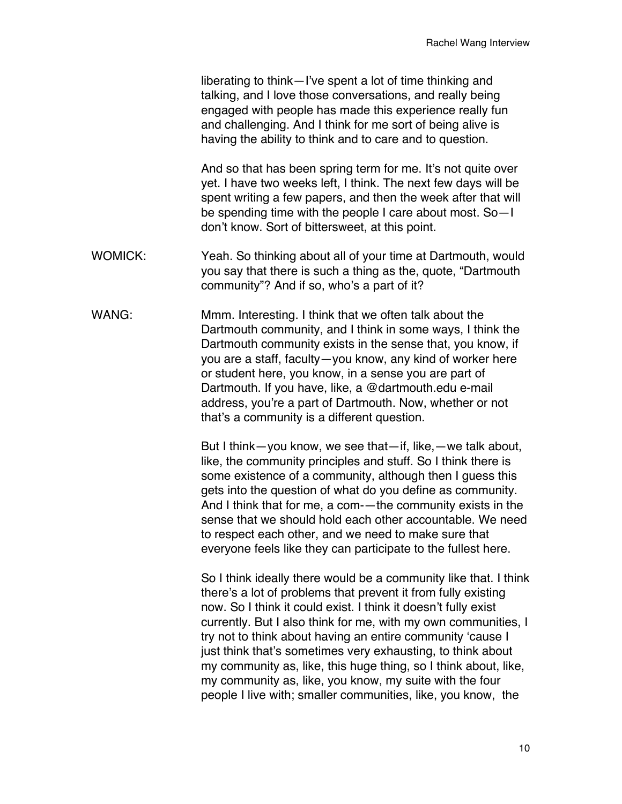liberating to think—I've spent a lot of time thinking and talking, and I love those conversations, and really being engaged with people has made this experience really fun and challenging. And I think for me sort of being alive is having the ability to think and to care and to question.

And so that has been spring term for me. It's not quite over yet. I have two weeks left, I think. The next few days will be spent writing a few papers, and then the week after that will be spending time with the people I care about most. So—I don't know. Sort of bittersweet, at this point.

- WOMICK: Yeah. So thinking about all of your time at Dartmouth, would you say that there is such a thing as the, quote, "Dartmouth community"? And if so, who's a part of it?
- WANG: Mmm. Interesting. I think that we often talk about the Dartmouth community, and I think in some ways, I think the Dartmouth community exists in the sense that, you know, if you are a staff, faculty—you know, any kind of worker here or student here, you know, in a sense you are part of Dartmouth. If you have, like, a @dartmouth.edu e-mail address, you're a part of Dartmouth. Now, whether or not that's a community is a different question.

But I think—you know, we see that—if, like,—we talk about, like, the community principles and stuff. So I think there is some existence of a community, although then I guess this gets into the question of what do you define as community. And I think that for me, a com-—the community exists in the sense that we should hold each other accountable. We need to respect each other, and we need to make sure that everyone feels like they can participate to the fullest here.

So I think ideally there would be a community like that. I think there's a lot of problems that prevent it from fully existing now. So I think it could exist. I think it doesn't fully exist currently. But I also think for me, with my own communities, I try not to think about having an entire community 'cause I just think that's sometimes very exhausting, to think about my community as, like, this huge thing, so I think about, like, my community as, like, you know, my suite with the four people I live with; smaller communities, like, you know, the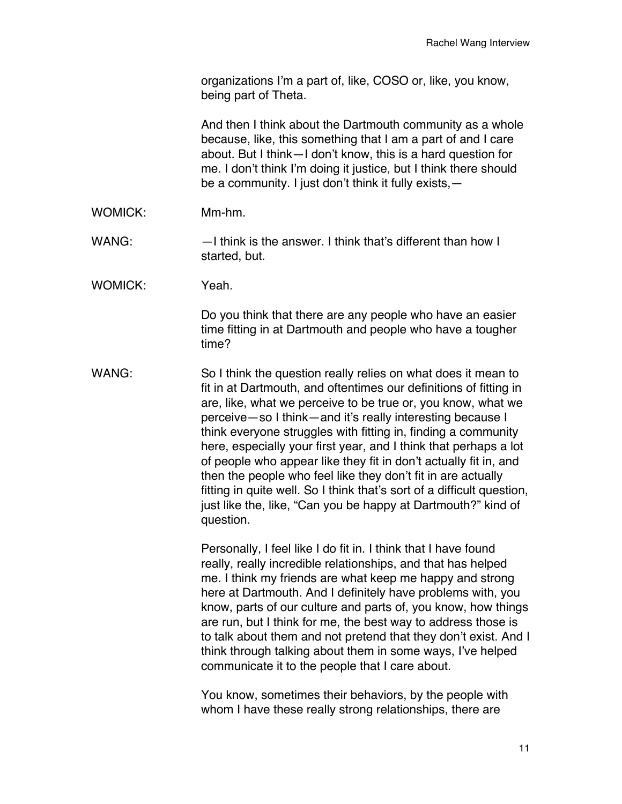organizations I'm a part of, like, COSO or, like, you know, being part of Theta.

And then I think about the Dartmouth community as a whole because, like, this something that I am a part of and I care about. But I think—I don't know, this is a hard question for me. I don't think I'm doing it justice, but I think there should be a community. I just don't think it fully exists,—

- WOMICK: Mm-hm.
- WANG:  $-1$  think is the answer. I think that's different than how I started, but.
- WOMICK: Yeah.

Do you think that there are any people who have an easier time fitting in at Dartmouth and people who have a tougher time?

WANG: So I think the question really relies on what does it mean to fit in at Dartmouth, and oftentimes our definitions of fitting in are, like, what we perceive to be true or, you know, what we perceive—so I think—and it's really interesting because I think everyone struggles with fitting in, finding a community here, especially your first year, and I think that perhaps a lot of people who appear like they fit in don't actually fit in, and then the people who feel like they don't fit in are actually fitting in quite well. So I think that's sort of a difficult question, just like the, like, "Can you be happy at Dartmouth?" kind of question.

> Personally, I feel like I do fit in. I think that I have found really, really incredible relationships, and that has helped me. I think my friends are what keep me happy and strong here at Dartmouth. And I definitely have problems with, you know, parts of our culture and parts of, you know, how things are run, but I think for me, the best way to address those is to talk about them and not pretend that they don't exist. And I think through talking about them in some ways, I've helped communicate it to the people that I care about.

You know, sometimes their behaviors, by the people with whom I have these really strong relationships, there are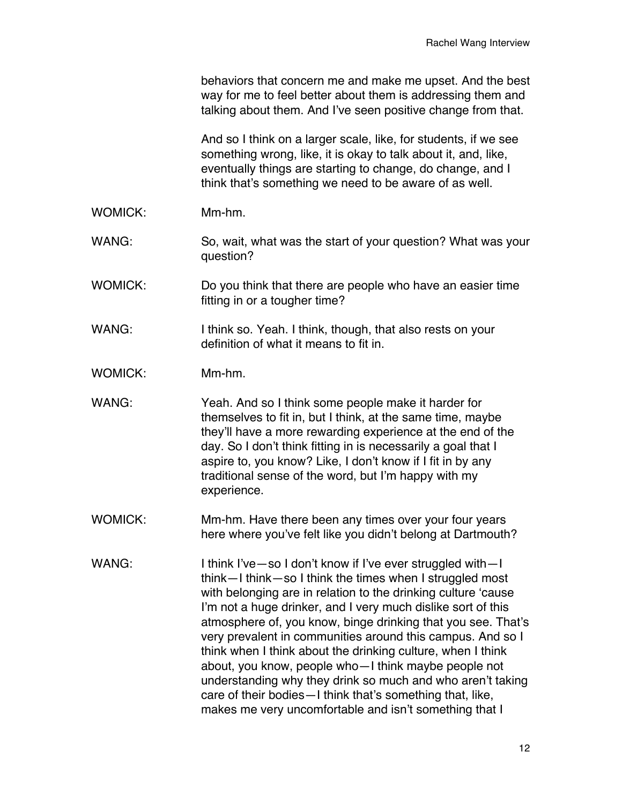|                | behaviors that concern me and make me upset. And the best<br>way for me to feel better about them is addressing them and<br>talking about them. And I've seen positive change from that.                                                                                                                                                                                                                                                                                                                                                                                                                                                                                                                |  |
|----------------|---------------------------------------------------------------------------------------------------------------------------------------------------------------------------------------------------------------------------------------------------------------------------------------------------------------------------------------------------------------------------------------------------------------------------------------------------------------------------------------------------------------------------------------------------------------------------------------------------------------------------------------------------------------------------------------------------------|--|
|                | And so I think on a larger scale, like, for students, if we see<br>something wrong, like, it is okay to talk about it, and, like,<br>eventually things are starting to change, do change, and I<br>think that's something we need to be aware of as well.                                                                                                                                                                                                                                                                                                                                                                                                                                               |  |
| <b>WOMICK:</b> | Mm-hm.                                                                                                                                                                                                                                                                                                                                                                                                                                                                                                                                                                                                                                                                                                  |  |
| WANG:          | So, wait, what was the start of your question? What was your<br>question?                                                                                                                                                                                                                                                                                                                                                                                                                                                                                                                                                                                                                               |  |
| <b>WOMICK:</b> | Do you think that there are people who have an easier time<br>fitting in or a tougher time?                                                                                                                                                                                                                                                                                                                                                                                                                                                                                                                                                                                                             |  |
| WANG:          | I think so. Yeah. I think, though, that also rests on your<br>definition of what it means to fit in.                                                                                                                                                                                                                                                                                                                                                                                                                                                                                                                                                                                                    |  |
| <b>WOMICK:</b> | Mm-hm.                                                                                                                                                                                                                                                                                                                                                                                                                                                                                                                                                                                                                                                                                                  |  |
| WANG:          | Yeah. And so I think some people make it harder for<br>themselves to fit in, but I think, at the same time, maybe<br>they'll have a more rewarding experience at the end of the<br>day. So I don't think fitting in is necessarily a goal that I<br>aspire to, you know? Like, I don't know if I fit in by any<br>traditional sense of the word, but I'm happy with my<br>experience.                                                                                                                                                                                                                                                                                                                   |  |
| <b>WOMICK:</b> | Mm-hm. Have there been any times over your four years<br>here where you've felt like you didn't belong at Dartmouth?                                                                                                                                                                                                                                                                                                                                                                                                                                                                                                                                                                                    |  |
| WANG:          | I think I've - so I don't know if I've ever struggled with - I<br>think-I think-so I think the times when I struggled most<br>with belonging are in relation to the drinking culture 'cause<br>I'm not a huge drinker, and I very much dislike sort of this<br>atmosphere of, you know, binge drinking that you see. That's<br>very prevalent in communities around this campus. And so I<br>think when I think about the drinking culture, when I think<br>about, you know, people who-I think maybe people not<br>understanding why they drink so much and who aren't taking<br>care of their bodies - I think that's something that, like,<br>makes me very uncomfortable and isn't something that I |  |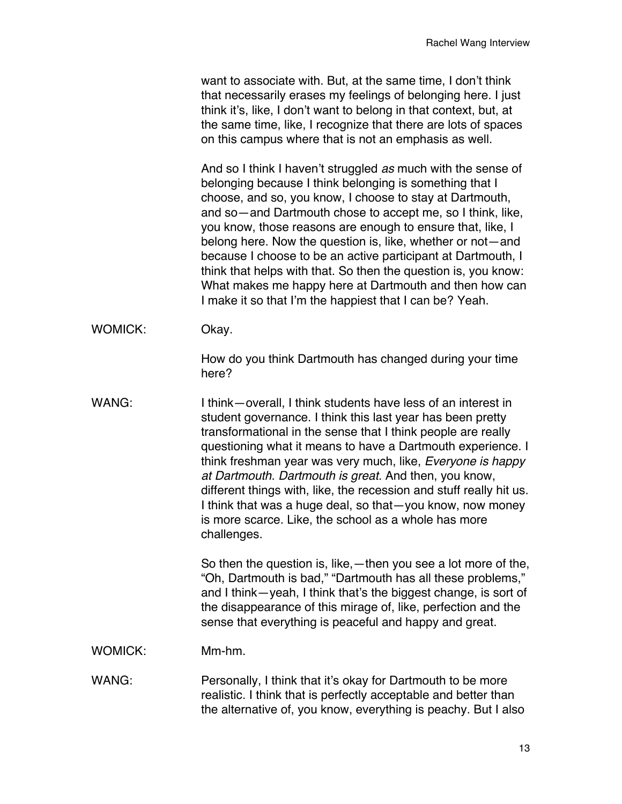want to associate with. But, at the same time, I don't think that necessarily erases my feelings of belonging here. I just think it's, like, I don't want to belong in that context, but, at the same time, like, I recognize that there are lots of spaces on this campus where that is not an emphasis as well.

And so I think I haven't struggled *as* much with the sense of belonging because I think belonging is something that I choose, and so, you know, I choose to stay at Dartmouth, and so—and Dartmouth chose to accept me, so I think, like, you know, those reasons are enough to ensure that, like, I belong here. Now the question is, like, whether or not—and because I choose to be an active participant at Dartmouth, I think that helps with that. So then the question is, you know: What makes me happy here at Dartmouth and then how can I make it so that I'm the happiest that I can be? Yeah.

WOMICK: Okay.

How do you think Dartmouth has changed during your time here?

WANG: I think—overall, I think students have less of an interest in student governance. I think this last year has been pretty transformational in the sense that I think people are really questioning what it means to have a Dartmouth experience. I think freshman year was very much, like, *Everyone is happy at Dartmouth. Dartmouth is great.* And then, you know, different things with, like, the recession and stuff really hit us. I think that was a huge deal, so that—you know, now money is more scarce. Like, the school as a whole has more challenges.

> So then the question is, like,—then you see a lot more of the, "Oh, Dartmouth is bad," "Dartmouth has all these problems," and I think—yeah, I think that's the biggest change, is sort of the disappearance of this mirage of, like, perfection and the sense that everything is peaceful and happy and great.

WOMICK: Mm-hm.

WANG: Personally, I think that it's okay for Dartmouth to be more realistic. I think that is perfectly acceptable and better than the alternative of, you know, everything is peachy. But I also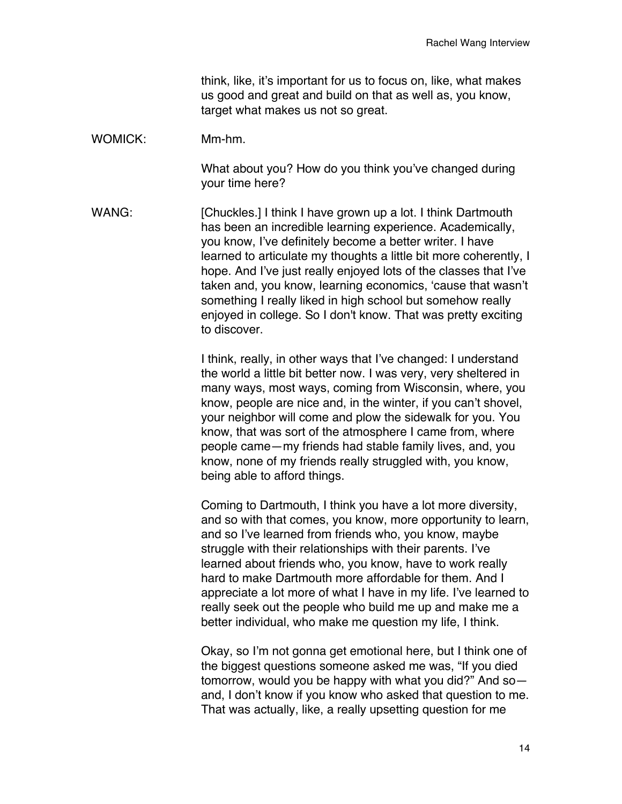think, like, it's important for us to focus on, like, what makes us good and great and build on that as well as, you know, target what makes us not so great.

WOMICK: Mm-hm.

What about you? How do you think you've changed during your time here?

WANG: [Chuckles.] I think I have grown up a lot. I think Dartmouth has been an incredible learning experience. Academically, you know, I've definitely become a better writer. I have learned to articulate my thoughts a little bit more coherently, I hope. And I've just really enjoyed lots of the classes that I've taken and, you know, learning economics, 'cause that wasn't something I really liked in high school but somehow really enjoyed in college. So I don't know. That was pretty exciting to discover.

> I think, really, in other ways that I've changed: I understand the world a little bit better now. I was very, very sheltered in many ways, most ways, coming from Wisconsin, where, you know, people are nice and, in the winter, if you can't shovel, your neighbor will come and plow the sidewalk for you. You know, that was sort of the atmosphere I came from, where people came—my friends had stable family lives, and, you know, none of my friends really struggled with, you know, being able to afford things.

Coming to Dartmouth, I think you have a lot more diversity, and so with that comes, you know, more opportunity to learn, and so I've learned from friends who, you know, maybe struggle with their relationships with their parents. I've learned about friends who, you know, have to work really hard to make Dartmouth more affordable for them. And I appreciate a lot more of what I have in my life. I've learned to really seek out the people who build me up and make me a better individual, who make me question my life, I think.

Okay, so I'm not gonna get emotional here, but I think one of the biggest questions someone asked me was, "If you died tomorrow, would you be happy with what you did?" And so and, I don't know if you know who asked that question to me. That was actually, like, a really upsetting question for me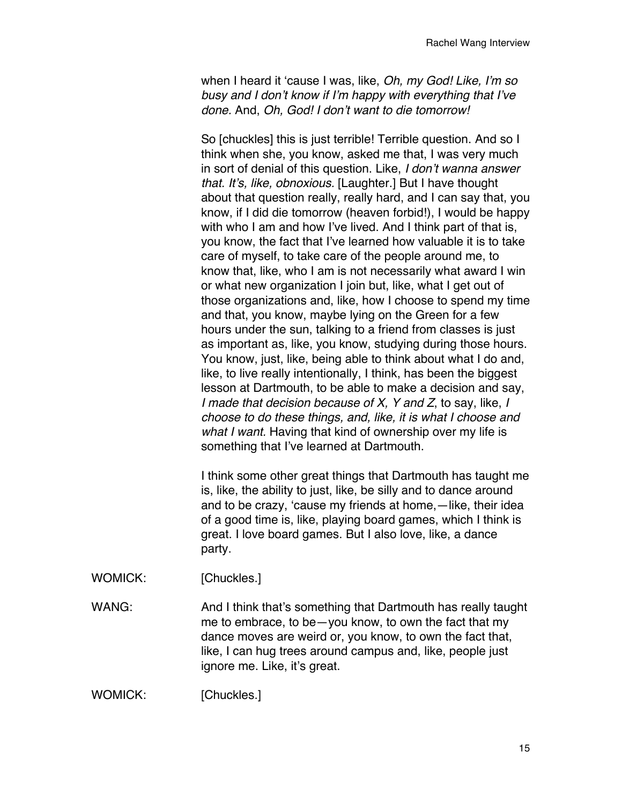when I heard it 'cause I was, like, *Oh, my God! Like, I'm so busy and I don't know if I'm happy with everything that I've done.* And, *Oh, God! I don't want to die tomorrow!*

So [chuckles] this is just terrible! Terrible question. And so I think when she, you know, asked me that, I was very much in sort of denial of this question. Like, *I don't wanna answer that. It's, like, obnoxious.* [Laughter.] But I have thought about that question really, really hard, and I can say that, you know, if I did die tomorrow (heaven forbid!), I would be happy with who I am and how I've lived. And I think part of that is, you know, the fact that I've learned how valuable it is to take care of myself, to take care of the people around me, to know that, like, who I am is not necessarily what award I win or what new organization I join but, like, what I get out of those organizations and, like, how I choose to spend my time and that, you know, maybe lying on the Green for a few hours under the sun, talking to a friend from classes is just as important as, like, you know, studying during those hours. You know, just, like, being able to think about what I do and, like, to live really intentionally, I think, has been the biggest lesson at Dartmouth, to be able to make a decision and say, *I made that decision because of X, Y and Z*, to say, like, *I choose to do these things, and, like, it is what I choose and what I want.* Having that kind of ownership over my life is something that I've learned at Dartmouth.

I think some other great things that Dartmouth has taught me is, like, the ability to just, like, be silly and to dance around and to be crazy, 'cause my friends at home,—like, their idea of a good time is, like, playing board games, which I think is great. I love board games. But I also love, like, a dance party.

WOMICK: [Chuckles.]

WANG: Mand I think that's something that Dartmouth has really taught me to embrace, to be—you know, to own the fact that my dance moves are weird or, you know, to own the fact that, like, I can hug trees around campus and, like, people just ignore me. Like, it's great.

WOMICK: [Chuckles.]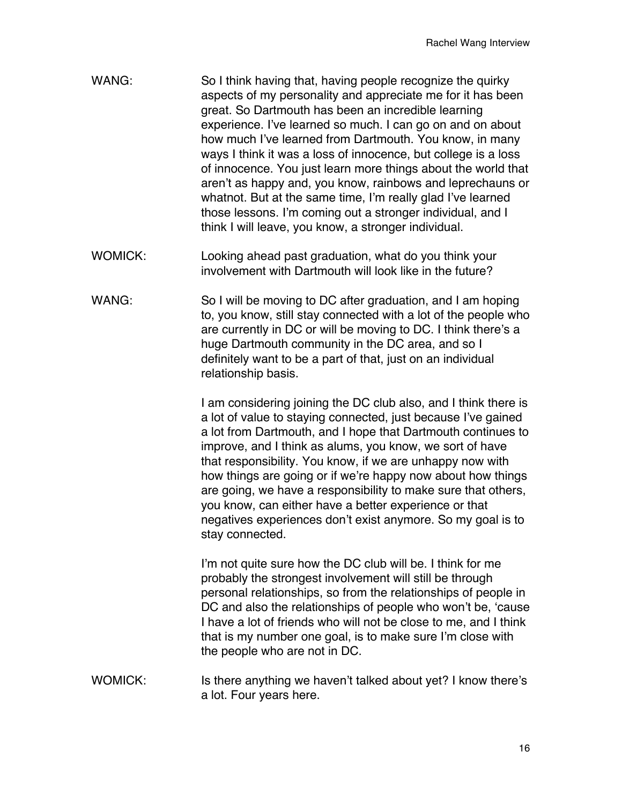- WANG: So I think having that, having people recognize the quirky aspects of my personality and appreciate me for it has been great. So Dartmouth has been an incredible learning experience. I've learned so much. I can go on and on about how much I've learned from Dartmouth. You know, in many ways I think it was a loss of innocence, but college is a loss of innocence. You just learn more things about the world that aren't as happy and, you know, rainbows and leprechauns or whatnot. But at the same time, I'm really glad I've learned those lessons. I'm coming out a stronger individual, and I think I will leave, you know, a stronger individual.
- WOMICK: Looking ahead past graduation, what do you think your involvement with Dartmouth will look like in the future?
- WANG: So I will be moving to DC after graduation, and I am hoping to, you know, still stay connected with a lot of the people who are currently in DC or will be moving to DC. I think there's a huge Dartmouth community in the DC area, and so I definitely want to be a part of that, just on an individual relationship basis.

I am considering joining the DC club also, and I think there is a lot of value to staying connected, just because I've gained a lot from Dartmouth, and I hope that Dartmouth continues to improve, and I think as alums, you know, we sort of have that responsibility. You know, if we are unhappy now with how things are going or if we're happy now about how things are going, we have a responsibility to make sure that others, you know, can either have a better experience or that negatives experiences don't exist anymore. So my goal is to stay connected.

I'm not quite sure how the DC club will be. I think for me probably the strongest involvement will still be through personal relationships, so from the relationships of people in DC and also the relationships of people who won't be, 'cause I have a lot of friends who will not be close to me, and I think that is my number one goal, is to make sure I'm close with the people who are not in DC.

WOMICK: Is there anything we haven't talked about yet? I know there's a lot. Four years here.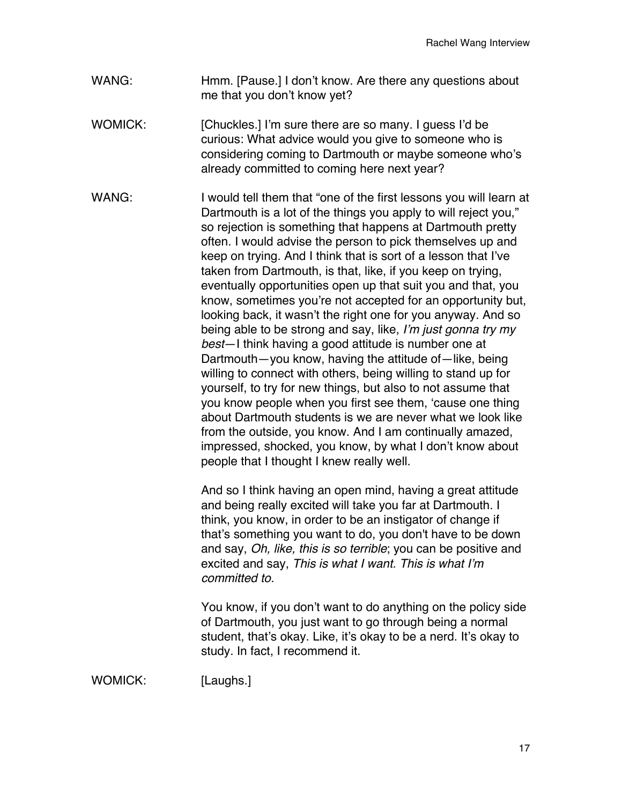- WANG: Hmm. [Pause.] I don't know. Are there any questions about me that you don't know yet?
- WOMICK: [Chuckles.] I'm sure there are so many. I quess I'd be curious: What advice would you give to someone who is considering coming to Dartmouth or maybe someone who's already committed to coming here next year?
- WANG: I would tell them that "one of the first lessons you will learn at Dartmouth is a lot of the things you apply to will reject you," so rejection is something that happens at Dartmouth pretty often. I would advise the person to pick themselves up and keep on trying. And I think that is sort of a lesson that I've taken from Dartmouth, is that, like, if you keep on trying, eventually opportunities open up that suit you and that, you know, sometimes you're not accepted for an opportunity but, looking back, it wasn't the right one for you anyway. And so being able to be strong and say, like, *I'm just gonna try my best*—I think having a good attitude is number one at Dartmouth—you know, having the attitude of—like, being willing to connect with others, being willing to stand up for yourself, to try for new things, but also to not assume that you know people when you first see them, 'cause one thing about Dartmouth students is we are never what we look like from the outside, you know. And I am continually amazed, impressed, shocked, you know, by what I don't know about people that I thought I knew really well.

And so I think having an open mind, having a great attitude and being really excited will take you far at Dartmouth. I think, you know, in order to be an instigator of change if that's something you want to do, you don't have to be down and say, *Oh, like, this is so terrible*; you can be positive and excited and say, *This is what I want. This is what I'm committed to.*

You know, if you don't want to do anything on the policy side of Dartmouth, you just want to go through being a normal student, that's okay. Like, it's okay to be a nerd. It's okay to study. In fact, I recommend it.

WOMICK: [Laughs.]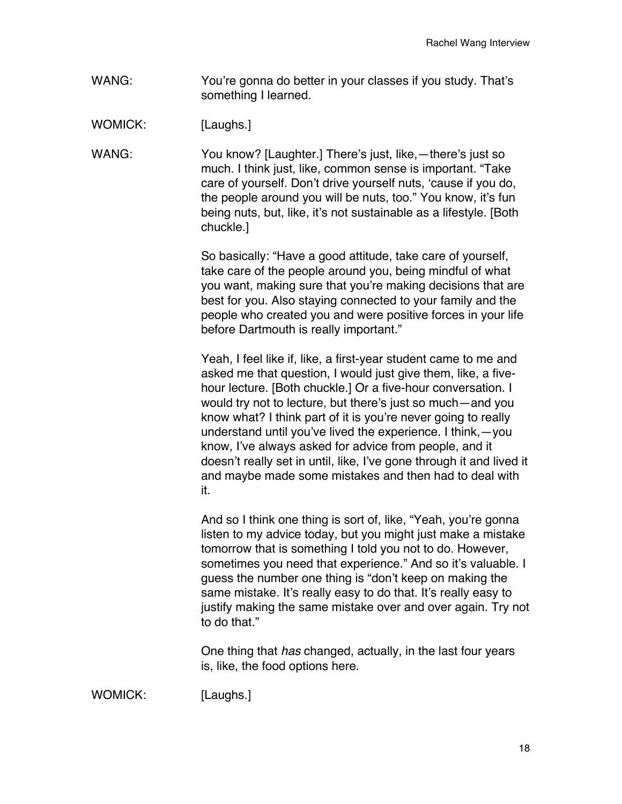WANG: You're gonna do better in your classes if you study. That's something I learned.

WOMICK: [Laughs.]

WANG: You know? [Laughter.] There's just, like,—there's just so much. I think just, like, common sense is important. "Take care of yourself. Don't drive yourself nuts, 'cause if you do, the people around you will be nuts, too." You know, it's fun being nuts, but, like, it's not sustainable as a lifestyle. [Both chuckle.]

> So basically: "Have a good attitude, take care of yourself, take care of the people around you, being mindful of what you want, making sure that you're making decisions that are best for you. Also staying connected to your family and the people who created you and were positive forces in your life before Dartmouth is really important."

Yeah, I feel like if, like, a first-year student came to me and asked me that question, I would just give them, like, a fivehour lecture. [Both chuckle.] Or a five-hour conversation. I would try not to lecture, but there's just so much—and you know what? I think part of it is you're never going to really understand until you've lived the experience. I think,—you know, I've always asked for advice from people, and it doesn't really set in until, like, I've gone through it and lived it and maybe made some mistakes and then had to deal with it.

And so I think one thing is sort of, like, "Yeah, you're gonna listen to my advice today, but you might just make a mistake tomorrow that is something I told you not to do. However, sometimes you need that experience." And so it's valuable. I guess the number one thing is "don't keep on making the same mistake. It's really easy to do that. It's really easy to justify making the same mistake over and over again. Try not to do that."

One thing that *has* changed, actually, in the last four years is, like, the food options here.

WOMICK: [Laughs.]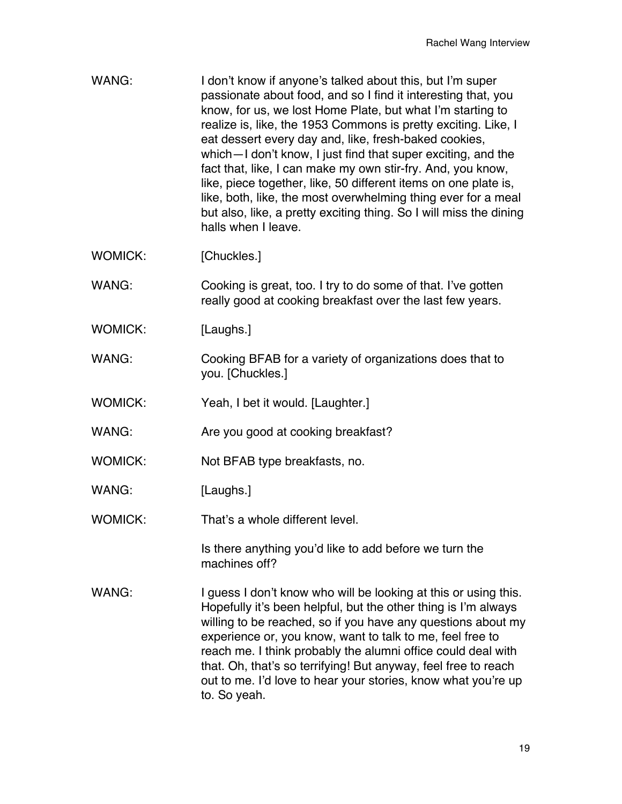- WANG: I don't know if anyone's talked about this, but I'm super passionate about food, and so I find it interesting that, you know, for us, we lost Home Plate, but what I'm starting to realize is, like, the 1953 Commons is pretty exciting. Like, I eat dessert every day and, like, fresh-baked cookies, which—I don't know, I just find that super exciting, and the fact that, like, I can make my own stir-fry. And, you know, like, piece together, like, 50 different items on one plate is, like, both, like, the most overwhelming thing ever for a meal but also, like, a pretty exciting thing. So I will miss the dining halls when I leave. WOMICK: [Chuckles.] WANG: Cooking is great, too. I try to do some of that. I've gotten really good at cooking breakfast over the last few years. WOMICK: [Laughs.] WANG: Cooking BFAB for a variety of organizations does that to you. [Chuckles.] WOMICK: Yeah, I bet it would. [Laughter.] WANG: Are you good at cooking breakfast? WOMICK: Not BFAB type breakfasts, no. WANG: [Laughs.] WOMICK: That's a whole different level. Is there anything you'd like to add before we turn the machines off? WANG: I guess I don't know who will be looking at this or using this.
- Hopefully it's been helpful, but the other thing is I'm always willing to be reached, so if you have any questions about my experience or, you know, want to talk to me, feel free to reach me. I think probably the alumni office could deal with that. Oh, that's so terrifying! But anyway, feel free to reach out to me. I'd love to hear your stories, know what you're up to. So yeah.